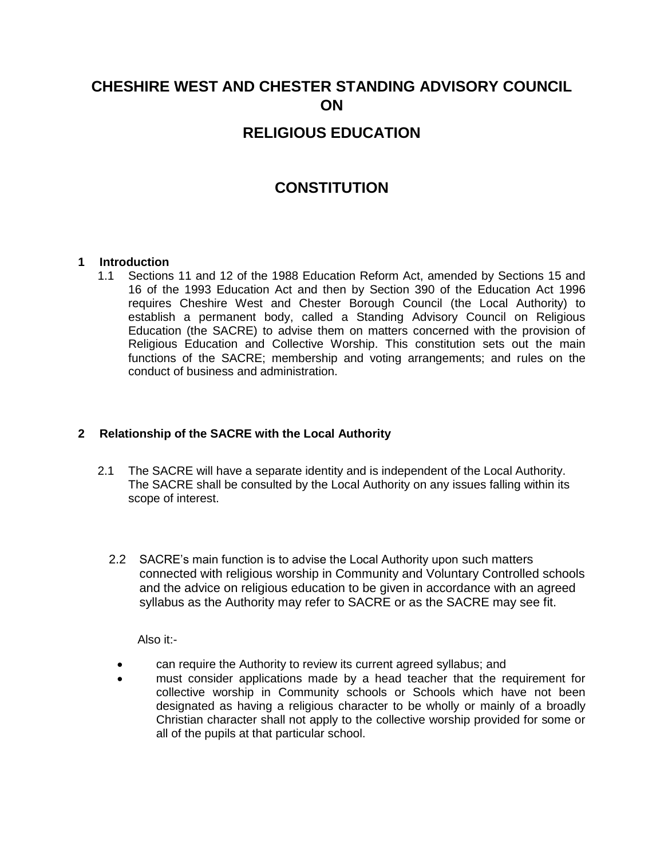# **CHESHIRE WEST AND CHESTER STANDING ADVISORY COUNCIL ON**

## **RELIGIOUS EDUCATION**

## **CONSTITUTION**

## **1 Introduction**

1.1 Sections 11 and 12 of the 1988 Education Reform Act, amended by Sections 15 and 16 of the 1993 Education Act and then by Section 390 of the Education Act 1996 requires Cheshire West and Chester Borough Council (the Local Authority) to establish a permanent body, called a Standing Advisory Council on Religious Education (the SACRE) to advise them on matters concerned with the provision of Religious Education and Collective Worship. This constitution sets out the main functions of the SACRE; membership and voting arrangements; and rules on the conduct of business and administration.

## **2 Relationship of the SACRE with the Local Authority**

- 2.1 The SACRE will have a separate identity and is independent of the Local Authority. The SACRE shall be consulted by the Local Authority on any issues falling within its scope of interest.
	- 2.2 SACRE's main function is to advise the Local Authority upon such matters connected with religious worship in Community and Voluntary Controlled schools and the advice on religious education to be given in accordance with an agreed syllabus as the Authority may refer to SACRE or as the SACRE may see fit.

Also it:-

- can require the Authority to review its current agreed syllabus; and
- must consider applications made by a head teacher that the requirement for collective worship in Community schools or Schools which have not been designated as having a religious character to be wholly or mainly of a broadly Christian character shall not apply to the collective worship provided for some or all of the pupils at that particular school.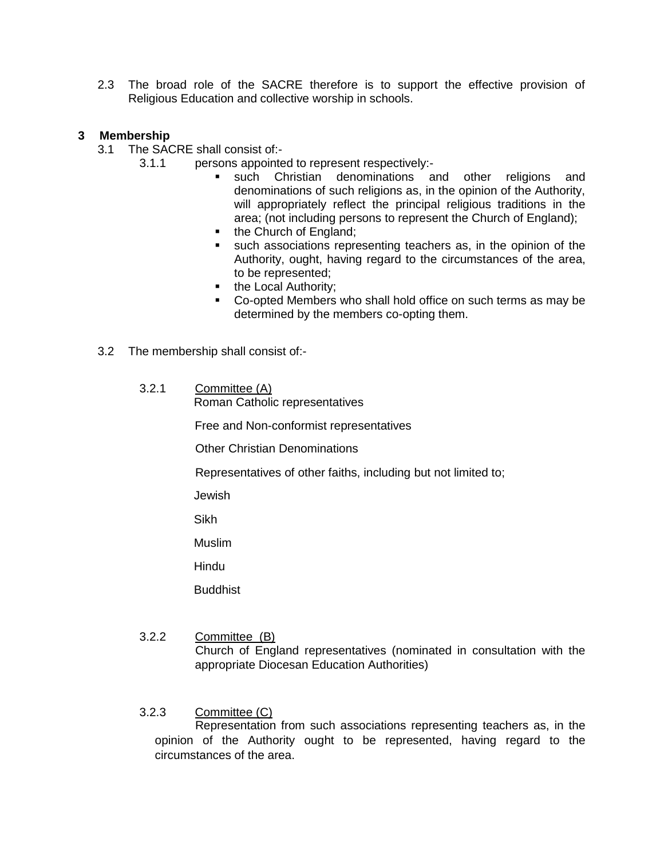2.3 The broad role of the SACRE therefore is to support the effective provision of Religious Education and collective worship in schools.

## **3 Membership**

- 3.1 The SACRE shall consist of:-
	- 3.1.1 persons appointed to represent respectively:
		- such Christian denominations and other religions and denominations of such religions as, in the opinion of the Authority, will appropriately reflect the principal religious traditions in the area; (not including persons to represent the Church of England);
		- the Church of England;
		- such associations representing teachers as, in the opinion of the Authority, ought, having regard to the circumstances of the area, to be represented;
		- the Local Authority;
		- Co-opted Members who shall hold office on such terms as may be determined by the members co-opting them.
- 3.2 The membership shall consist of:-
	- 3.2.1 Committee (A) Roman Catholic representatives

Free and Non-conformist representatives

Other Christian Denominations

Representatives of other faiths, including but not limited to;

Jewish

Sikh

Muslim

Hindu

**Buddhist** 

- 3.2.2 Committee (B) Church of England representatives (nominated in consultation with the appropriate Diocesan Education Authorities)
- 3.2.3 Committee (C)

Representation from such associations representing teachers as, in the opinion of the Authority ought to be represented, having regard to the circumstances of the area.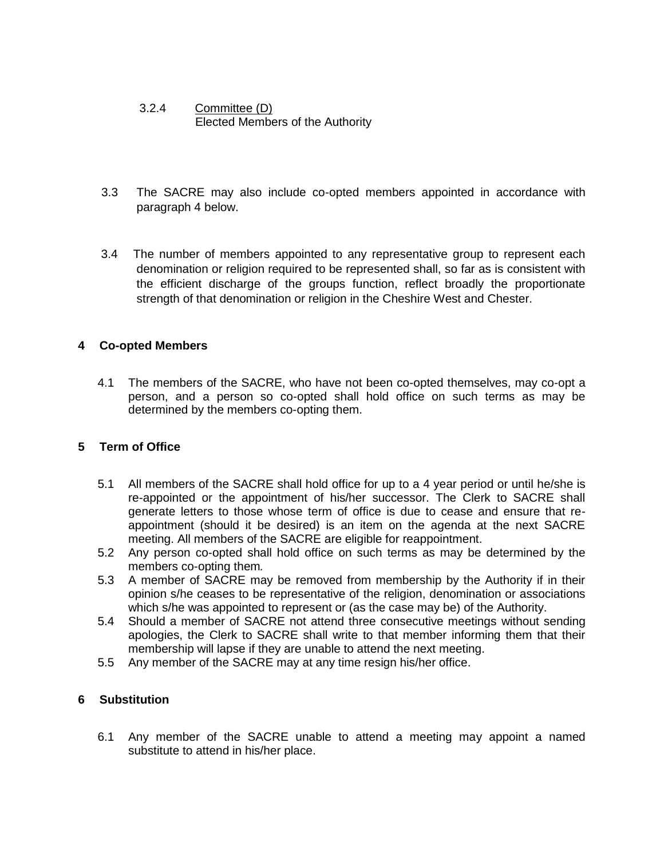## 3.2.4 Committee (D) Elected Members of the Authority

- 3.3 The SACRE may also include co-opted members appointed in accordance with paragraph 4 below.
- 3.4 The number of members appointed to any representative group to represent each denomination or religion required to be represented shall, so far as is consistent with the efficient discharge of the groups function, reflect broadly the proportionate strength of that denomination or religion in the Cheshire West and Chester.

## **4 Co-opted Members**

4.1 The members of the SACRE, who have not been co-opted themselves, may co-opt a person, and a person so co-opted shall hold office on such terms as may be determined by the members co-opting them.

## **5 Term of Office**

- 5.1 All members of the SACRE shall hold office for up to a 4 year period or until he/she is re-appointed or the appointment of his/her successor. The Clerk to SACRE shall generate letters to those whose term of office is due to cease and ensure that reappointment (should it be desired) is an item on the agenda at the next SACRE meeting. All members of the SACRE are eligible for reappointment.
- 5.2 Any person co-opted shall hold office on such terms as may be determined by the members co-opting them*.*
- 5.3 A member of SACRE may be removed from membership by the Authority if in their opinion s/he ceases to be representative of the religion, denomination or associations which s/he was appointed to represent or (as the case may be) of the Authority.
- 5.4 Should a member of SACRE not attend three consecutive meetings without sending apologies, the Clerk to SACRE shall write to that member informing them that their membership will lapse if they are unable to attend the next meeting.
- 5.5 Any member of the SACRE may at any time resign his/her office.

## **6 Substitution**

6.1 Any member of the SACRE unable to attend a meeting may appoint a named substitute to attend in his/her place.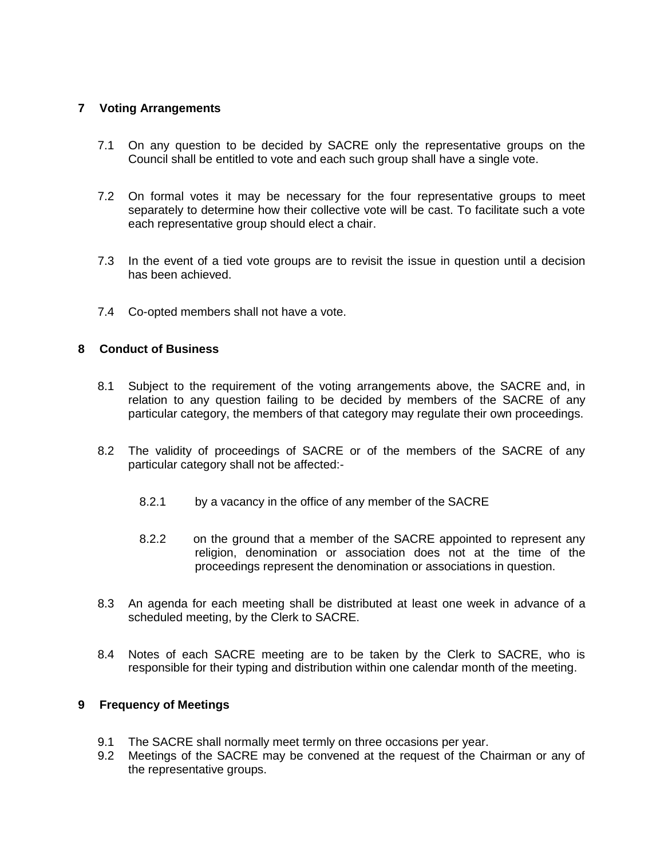## **7 Voting Arrangements**

- 7.1 On any question to be decided by SACRE only the representative groups on the Council shall be entitled to vote and each such group shall have a single vote.
- 7.2 On formal votes it may be necessary for the four representative groups to meet separately to determine how their collective vote will be cast. To facilitate such a vote each representative group should elect a chair.
- 7.3 In the event of a tied vote groups are to revisit the issue in question until a decision has been achieved.
- 7.4 Co-opted members shall not have a vote.

## **8 Conduct of Business**

- 8.1 Subject to the requirement of the voting arrangements above, the SACRE and, in relation to any question failing to be decided by members of the SACRE of any particular category, the members of that category may regulate their own proceedings.
- 8.2 The validity of proceedings of SACRE or of the members of the SACRE of any particular category shall not be affected:-
	- 8.2.1 by a vacancy in the office of any member of the SACRE
	- 8.2.2 on the ground that a member of the SACRE appointed to represent any religion, denomination or association does not at the time of the proceedings represent the denomination or associations in question.
- 8.3 An agenda for each meeting shall be distributed at least one week in advance of a scheduled meeting, by the Clerk to SACRE.
- 8.4 Notes of each SACRE meeting are to be taken by the Clerk to SACRE, who is responsible for their typing and distribution within one calendar month of the meeting.

## **9 Frequency of Meetings**

- 9.1 The SACRE shall normally meet termly on three occasions per year.
- 9.2 Meetings of the SACRE may be convened at the request of the Chairman or any of the representative groups.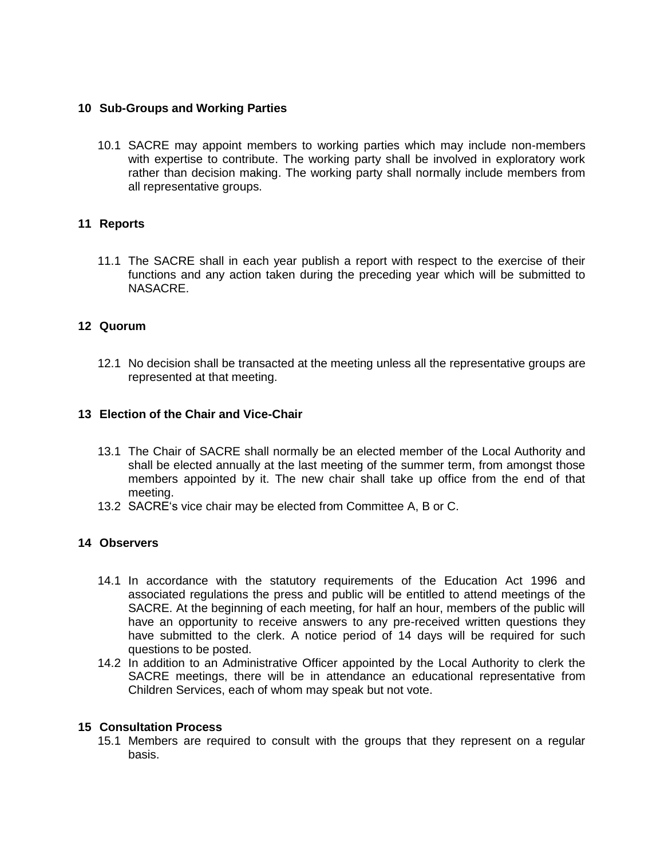## **10 Sub-Groups and Working Parties**

10.1 SACRE may appoint members to working parties which may include non-members with expertise to contribute. The working party shall be involved in exploratory work rather than decision making. The working party shall normally include members from all representative groups.

## **11 Reports**

11.1 The SACRE shall in each year publish a report with respect to the exercise of their functions and any action taken during the preceding year which will be submitted to NASACRE.

## **12 Quorum**

12.1 No decision shall be transacted at the meeting unless all the representative groups are represented at that meeting.

## **13 Election of the Chair and Vice-Chair**

- 13.1 The Chair of SACRE shall normally be an elected member of the Local Authority and shall be elected annually at the last meeting of the summer term, from amongst those members appointed by it. The new chair shall take up office from the end of that meeting.
- 13.2 SACRE's vice chair may be elected from Committee A, B or C.

## **14 Observers**

- 14.1 In accordance with the statutory requirements of the Education Act 1996 and associated regulations the press and public will be entitled to attend meetings of the SACRE. At the beginning of each meeting, for half an hour, members of the public will have an opportunity to receive answers to any pre-received written questions they have submitted to the clerk. A notice period of 14 days will be required for such questions to be posted.
- 14.2 In addition to an Administrative Officer appointed by the Local Authority to clerk the SACRE meetings, there will be in attendance an educational representative from Children Services, each of whom may speak but not vote.

#### **15 Consultation Process**

15.1 Members are required to consult with the groups that they represent on a regular basis.